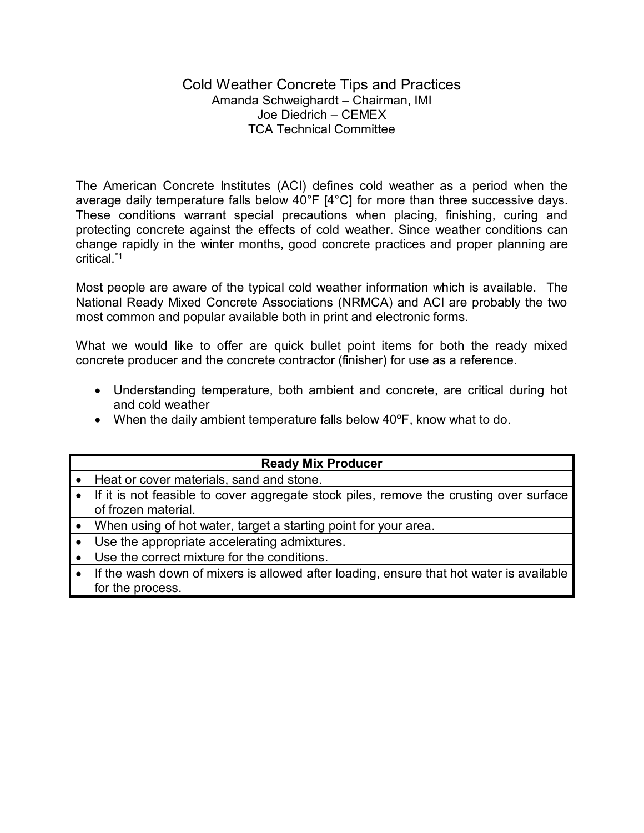## Cold Weather Concrete Tips and Practices Amanda Schweighardt – Chairman, IMI Joe Diedrich – CEMEX TCA Technical Committee

The American Concrete Institutes (ACI) defines cold weather as a period when the average daily temperature falls below 40°F [4°C] for more than three successive days. These conditions warrant special precautions when placing, finishing, curing and protecting concrete against the effects of cold weather. Since weather conditions can change rapidly in the winter months, good concrete practices and proper planning are critical<sup>\*1</sup>

Most people are aware of the typical cold weather information which is available. The National Ready Mixed Concrete Associations (NRMCA) and ACI are probably the two most common and popular available both in print and electronic forms.

What we would like to offer are quick bullet point items for both the ready mixed concrete producer and the concrete contractor (finisher) for use as a reference.

- Understanding temperature, both ambient and concrete, are critical during hot and cold weather
- When the daily ambient temperature falls below  $40^{\circ}$ F, know what to do.

| <b>Ready Mix Producer</b>                                                                                       |
|-----------------------------------------------------------------------------------------------------------------|
| Heat or cover materials, sand and stone.                                                                        |
| • If it is not feasible to cover aggregate stock piles, remove the crusting over surface<br>of frozen material. |
| When using of hot water, target a starting point for your area.                                                 |
| Use the appropriate accelerating admixtures.                                                                    |
| Use the correct mixture for the conditions.                                                                     |
| If the wash down of mixers is allowed after loading, ensure that hot water is available                         |
| for the process.                                                                                                |